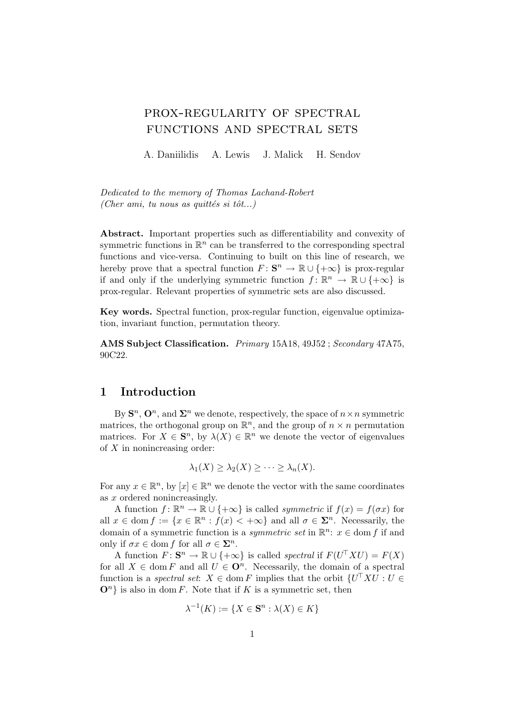# prox-regularity of spectral functions and spectral sets

A. Daniilidis A. Lewis J. Malick H. Sendov

Dedicated to the memory of Thomas Lachand-Robert (Cher ami, tu nous as quittés si tôt...)

Abstract. Important properties such as differentiability and convexity of symmetric functions in  $\mathbb{R}^n$  can be transferred to the corresponding spectral functions and vice-versa. Continuing to built on this line of research, we hereby prove that a spectral function  $F: \mathbf{S}^n \to \mathbb{R} \cup \{+\infty\}$  is prox-regular if and only if the underlying symmetric function  $f: \mathbb{R}^n \to \mathbb{R} \cup \{+\infty\}$  is prox-regular. Relevant properties of symmetric sets are also discussed.

Key words. Spectral function, prox-regular function, eigenvalue optimization, invariant function, permutation theory.

AMS Subject Classification. Primary 15A18, 49J52 ; Secondary 47A75, 90C22.

### 1 Introduction

By  $\mathbf{S}^n$ ,  $\mathbf{O}^n$ , and  $\mathbf{\Sigma}^n$  we denote, respectively, the space of  $n \times n$  symmetric matrices, the orthogonal group on  $\mathbb{R}^n$ , and the group of  $n \times n$  permutation matrices. For  $X \in \mathbf{S}^n$ , by  $\lambda(X) \in \mathbb{R}^n$  we denote the vector of eigenvalues of  $X$  in nonincreasing order:

$$
\lambda_1(X) \geq \lambda_2(X) \geq \cdots \geq \lambda_n(X).
$$

For any  $x \in \mathbb{R}^n$ , by  $[x] \in \mathbb{R}^n$  we denote the vector with the same coordinates as x ordered nonincreasingly.

A function  $f: \mathbb{R}^n \to \mathbb{R} \cup \{+\infty\}$  is called *symmetric* if  $f(x) = f(\sigma x)$  for all  $x \in \text{dom } f := \{x \in \mathbb{R}^n : f(x) < +\infty\}$  and all  $\sigma \in \Sigma^n$ . Necessarily, the domain of a symmetric function is a *symmetric set* in  $\mathbb{R}^n$ :  $x \in$  dom f if and only if  $\sigma x \in \text{dom } f$  for all  $\sigma \in \Sigma^n$ .

A function  $F: \mathbf{S}^n \to \mathbb{R} \cup \{+\infty\}$  is called spectral if  $F(U^{\top} X U) = F(X)$ for all  $X \in \text{dom } F$  and all  $U \in \mathbf{O}^n$ . Necessarily, the domain of a spectral function is a *spectral set:*  $X \in \text{dom } F$  implies that the orbit  $\{U^{\top} X U : U \in$  $\mathbf{O}^n$  is also in dom F. Note that if K is a symmetric set, then

$$
\lambda^{-1}(K) := \{ X \in \mathbf{S}^n : \lambda(X) \in K \}
$$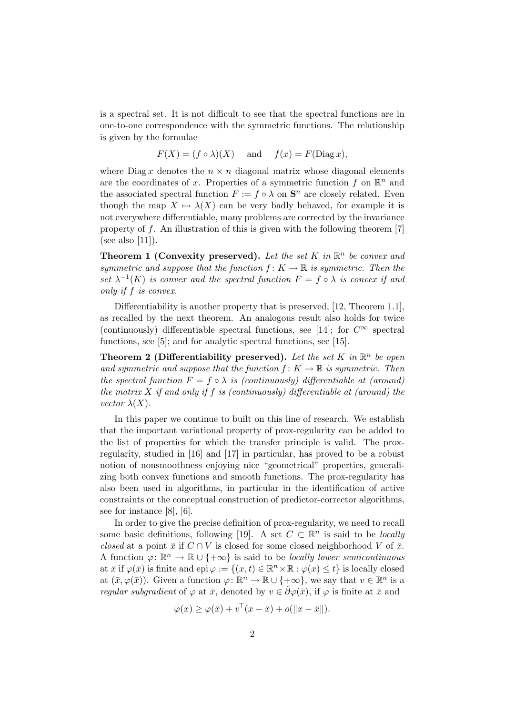is a spectral set. It is not difficult to see that the spectral functions are in one-to-one correspondence with the symmetric functions. The relationship is given by the formulae

$$
F(X) = (f \circ \lambda)(X)
$$
 and  $f(x) = F(\text{Diag } x),$ 

where Diag x denotes the  $n \times n$  diagonal matrix whose diagonal elements are the coordinates of x. Properties of a symmetric function f on  $\mathbb{R}^n$  and the associated spectral function  $F := f \circ \lambda$  on  $S<sup>n</sup>$  are closely related. Even though the map  $X \mapsto \lambda(X)$  can be very badly behaved, for example it is not everywhere differentiable, many problems are corrected by the invariance property of f. An illustration of this is given with the following theorem [7] (see also  $[11]$ ).

**Theorem 1 (Convexity preserved).** Let the set K in  $\mathbb{R}^n$  be convex and symmetric and suppose that the function  $f: K \to \mathbb{R}$  is symmetric. Then the set  $\lambda^{-1}(K)$  is convex and the spectral function  $F = f \circ \lambda$  is convex if and only if f is convex.

Differentiability is another property that is preserved, [12, Theorem 1.1], as recalled by the next theorem. An analogous result also holds for twice (continuously) differentiable spectral functions, see [14]; for  $C^{\infty}$  spectral functions, see [5]; and for analytic spectral functions, see [15].

**Theorem 2 (Differentiability preserved).** Let the set K in  $\mathbb{R}^n$  be open and symmetric and suppose that the function  $f: K \to \mathbb{R}$  is symmetric. Then the spectral function  $F = f \circ \lambda$  is (continuously) differentiable at (around) the matrix  $X$  if and only if  $f$  is (continuously) differentiable at (around) the vector  $\lambda(X)$ .

In this paper we continue to built on this line of research. We establish that the important variational property of prox-regularity can be added to the list of properties for which the transfer principle is valid. The proxregularity, studied in [16] and [17] in particular, has proved to be a robust notion of nonsmoothness enjoying nice "geometrical" properties, generalizing both convex functions and smooth functions. The prox-regularity has also been used in algorithms, in particular in the identification of active constraints or the conceptual construction of predictor-corrector algorithms, see for instance [8], [6].

In order to give the precise definition of prox-regularity, we need to recall some basic definitions, following [19]. A set  $C \subset \mathbb{R}^n$  is said to be *locally* closed at a point  $\bar{x}$  if  $C \cap V$  is closed for some closed neighborhood V of  $\bar{x}$ . A function  $\varphi \colon \mathbb{R}^n \to \mathbb{R} \cup \{+\infty\}$  is said to be *locally lower semicontinuous* at  $\bar{x}$  if  $\varphi(\bar{x})$  is finite and epi  $\varphi := \{(x, t) \in \mathbb{R}^n \times \mathbb{R} : \varphi(x) \leq t\}$  is locally closed at  $(\bar{x}, \varphi(\bar{x}))$ . Given a function  $\varphi : \mathbb{R}^n \to \mathbb{R} \cup \{+\infty\}$ , we say that  $v \in \mathbb{R}^n$  is a regular subgradient of  $\varphi$  at  $\bar{x}$ , denoted by  $v \in \hat{\partial} \varphi(\bar{x})$ , if  $\varphi$  is finite at  $\bar{x}$  and

$$
\varphi(x) \ge \varphi(\bar{x}) + v^{\top}(x - \bar{x}) + o(||x - \bar{x}||).
$$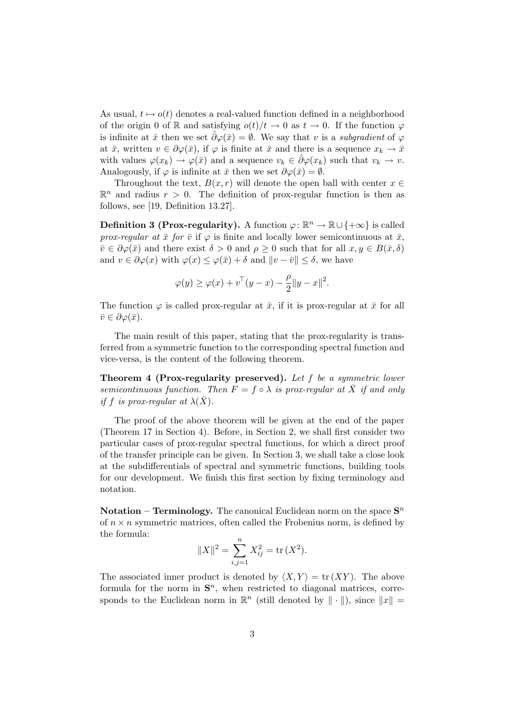As usual,  $t \mapsto o(t)$  denotes a real-valued function defined in a neighborhood of the origin 0 of R and satisfying  $o(t)/t \to 0$  as  $t \to 0$ . If the function  $\varphi$ is infinite at  $\bar{x}$  then we set  $\partial \varphi(\bar{x}) = \emptyset$ . We say that v is a subgradient of  $\varphi$ at  $\bar{x}$ , written  $v \in \partial \varphi(\bar{x})$ , if  $\varphi$  is finite at  $\bar{x}$  and there is a sequence  $x_k \to \bar{x}$ with values  $\varphi(x_k) \to \varphi(\bar{x})$  and a sequence  $v_k \in \partial \varphi(x_k)$  such that  $v_k \to v$ . Analogously, if  $\varphi$  is infinite at  $\bar{x}$  then we set  $\partial \varphi(\bar{x}) = \emptyset$ .

Throughout the text,  $B(x, r)$  will denote the open ball with center  $x \in$  $\mathbb{R}^n$  and radius  $r > 0$ . The definition of prox-regular function is then as follows, see [19, Definition 13.27].

**Definition 3 (Prox-regularity).** A function  $\varphi : \mathbb{R}^n \to \mathbb{R} \cup \{+\infty\}$  is called prox-regular at  $\bar{x}$  for  $\bar{v}$  if  $\varphi$  is finite and locally lower semicontinuous at  $\bar{x}$ ,  $\bar{v} \in \partial \varphi(\bar{x})$  and there exist  $\delta > 0$  and  $\rho \geq 0$  such that for all  $x, y \in B(\bar{x}, \delta)$ and  $v \in \partial \varphi(x)$  with  $\varphi(x) \leq \varphi(\bar{x}) + \delta$  and  $||v - \bar{v}|| \leq \delta$ , we have

$$
\varphi(y) \ge \varphi(x) + v^{\top}(y - x) - \frac{\rho}{2} \|y - x\|^2.
$$

The function  $\varphi$  is called prox-regular at  $\bar{x}$ , if it is prox-regular at  $\bar{x}$  for all  $\bar{v} \in \partial \varphi(\bar{x}).$ 

The main result of this paper, stating that the prox-regularity is transferred from a symmetric function to the corresponding spectral function and vice-versa, is the content of the following theorem.

Theorem 4 (Prox-regularity preserved). Let f be a symmetric lower semicontinuous function. Then  $F = f \circ \lambda$  is prox-regular at X if and only if f is prox-regular at  $\lambda(X)$ .

The proof of the above theorem will be given at the end of the paper (Theorem 17 in Section 4). Before, in Section 2, we shall first consider two particular cases of prox-regular spectral functions, for which a direct proof of the transfer principle can be given. In Section 3, we shall take a close look at the subdifferentials of spectral and symmetric functions, building tools for our development. We finish this first section by fixing terminology and notation.

**Notation – Terminology.** The canonical Euclidean norm on the space  $S<sup>n</sup>$ of  $n \times n$  symmetric matrices, often called the Frobenius norm, is defined by the formula:

$$
||X||^2 = \sum_{i,j=1}^n X_{ij}^2 = \text{tr}(X^2).
$$

The associated inner product is denoted by  $\langle X, Y \rangle = \text{tr}(XY)$ . The above formula for the norm in  $S<sup>n</sup>$ , when restricted to diagonal matrices, corresponds to the Euclidean norm in  $\mathbb{R}^n$  (still denoted by  $\|\cdot\|$ ), since  $\|x\| =$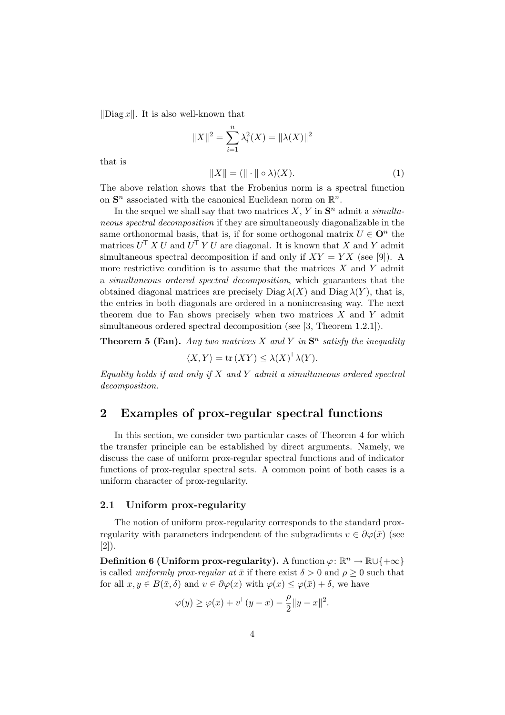$\|\text{Diag } x\|$ . It is also well-known that

$$
||X||^{2} = \sum_{i=1}^{n} \lambda_{i}^{2}(X) = ||\lambda(X)||^{2}
$$

$$
||X|| = (|| \cdot || \circ \lambda)(X).
$$
 (1)

that is

The above relation shows that the Frobenius norm is a spectral function on 
$$
\mathbf{S}^n
$$
 associated with the canonical Euclidean norm on  $\mathbb{R}^n$ .

In the sequel we shall say that two matrices  $X, Y$  in  $S<sup>n</sup>$  admit a *simulta*neous spectral decomposition if they are simultaneously diagonalizable in the same orthonormal basis, that is, if for some orthogonal matrix  $U \in \mathbf{O}^n$  the matrices  $U^{\top} X U$  and  $U^{\top} Y U$  are diagonal. It is known that X and Y admit simultaneous spectral decomposition if and only if  $XY = YX$  (see [9]). A more restrictive condition is to assume that the matrices  $X$  and  $Y$  admit a simultaneous ordered spectral decomposition, which guarantees that the obtained diagonal matrices are precisely Diag  $\lambda(X)$  and Diag  $\lambda(Y)$ , that is, the entries in both diagonals are ordered in a nonincreasing way. The next theorem due to Fan shows precisely when two matrices  $X$  and  $Y$  admit simultaneous ordered spectral decomposition (see [3, Theorem 1.2.1]).

**Theorem 5 (Fan).** Any two matrices X and Y in  $S<sup>n</sup>$  satisfy the inequality

$$
\langle X, Y \rangle = \text{tr}(XY) \le \lambda(X)^{\top} \lambda(Y).
$$

Equality holds if and only if  $X$  and  $Y$  admit a simultaneous ordered spectral decomposition.

# 2 Examples of prox-regular spectral functions

In this section, we consider two particular cases of Theorem 4 for which the transfer principle can be established by direct arguments. Namely, we discuss the case of uniform prox-regular spectral functions and of indicator functions of prox-regular spectral sets. A common point of both cases is a uniform character of prox-regularity.

#### 2.1 Uniform prox-regularity

The notion of uniform prox-regularity corresponds to the standard proxregularity with parameters independent of the subgradients  $v \in \partial \varphi(\bar{x})$  (see [2]).

Definition 6 (Uniform prox-regularity). A function  $\varphi \colon \mathbb{R}^n \to \mathbb{R} \cup \{+\infty\}$ is called *uniformly prox-regular at*  $\bar{x}$  if there exist  $\delta > 0$  and  $\rho \geq 0$  such that for all  $x, y \in B(\bar{x}, \delta)$  and  $v \in \partial \varphi(x)$  with  $\varphi(x) \leq \varphi(\bar{x}) + \delta$ , we have

$$
\varphi(y) \ge \varphi(x) + v^{\top}(y - x) - \frac{\rho}{2} ||y - x||^2.
$$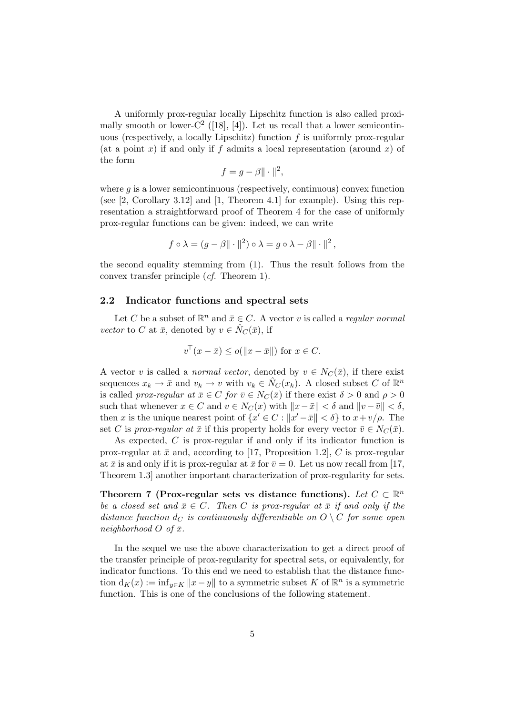A uniformly prox-regular locally Lipschitz function is also called proximally smooth or lower- $C^2$  ([18], [4]). Let us recall that a lower semicontinuous (respectively, a locally Lipschitz) function  $f$  is uniformly prox-regular (at a point x) if and only if f admits a local representation (around x) of the form

$$
f = g - \beta \|\cdot\|^2,
$$

where  $g$  is a lower semicontinuous (respectively, continuous) convex function (see [2, Corollary 3.12] and [1, Theorem 4.1] for example). Using this representation a straightforward proof of Theorem 4 for the case of uniformly prox-regular functions can be given: indeed, we can write

$$
f \circ \lambda = (g - \beta \|\cdot\|^2) \circ \lambda = g \circ \lambda - \beta \|\cdot\|^2,
$$

the second equality stemming from (1). Thus the result follows from the convex transfer principle (cf. Theorem 1).

#### 2.2 Indicator functions and spectral sets

Let C be a subset of  $\mathbb{R}^n$  and  $\bar{x} \in C$ . A vector v is called a *regular normal* vector to C at  $\bar{x}$ , denoted by  $v \in \hat{N}_C(\bar{x})$ , if

$$
v^{\top}(x-\bar{x}) \le o(\|x-\bar{x}\|) \text{ for } x \in C.
$$

A vector v is called a *normal vector*, denoted by  $v \in N_C(\bar{x})$ , if there exist sequences  $x_k \to \bar{x}$  and  $v_k \to v$  with  $v_k \in \hat{N}_C(x_k)$ . A closed subset C of  $\mathbb{R}^n$ is called prox-regular at  $\bar{x} \in C$  for  $\bar{v} \in N_C(\bar{x})$  if there exist  $\delta > 0$  and  $\rho > 0$ such that whenever  $x \in C$  and  $v \in N_C(x)$  with  $||x-\bar{x}|| < \delta$  and  $||v-\bar{v}|| < \delta$ , then x is the unique nearest point of  $\{x' \in C : ||x' - \bar{x}|| < \delta\}$  to  $x + v/\rho$ . The set C is prox-regular at  $\bar{x}$  if this property holds for every vector  $\bar{v} \in N_C(\bar{x})$ .

As expected, C is prox-regular if and only if its indicator function is prox-regular at  $\bar{x}$  and, according to [17, Proposition 1.2], C is prox-regular at  $\bar{x}$  is and only if it is prox-regular at  $\bar{x}$  for  $\bar{v} = 0$ . Let us now recall from [17, Theorem 1.3] another important characterization of prox-regularity for sets.

Theorem 7 (Prox-regular sets vs distance functions). Let  $C \subset \mathbb{R}^n$ be a closed set and  $\bar{x} \in C$ . Then C is prox-regular at  $\bar{x}$  if and only if the distance function  $d_C$  is continuously differentiable on  $O \setminus C$  for some open neighborhood  $O$  of  $\bar{x}$ .

In the sequel we use the above characterization to get a direct proof of the transfer principle of prox-regularity for spectral sets, or equivalently, for indicator functions. To this end we need to establish that the distance function  $d_K(x) := \inf_{y \in K} ||x - y||$  to a symmetric subset K of  $\mathbb{R}^n$  is a symmetric function. This is one of the conclusions of the following statement.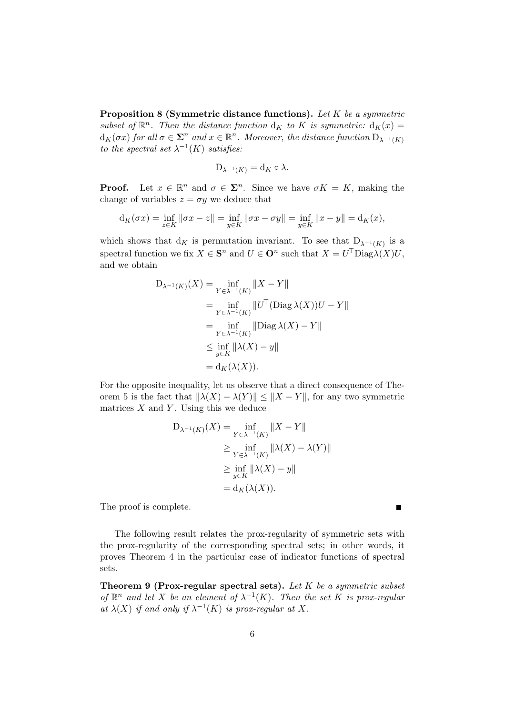**Proposition 8 (Symmetric distance functions).** Let  $K$  be a symmetric subset of  $\mathbb{R}^n$ . Then the distance function  $d_K$  to K is symmetric:  $d_K(x) =$  $d_K(\sigma x)$  for all  $\sigma \in \mathbf{\Sigma}^n$  and  $x \in \mathbb{R}^n$ . Moreover, the distance function  $D_{\lambda^{-1}(K)}$ to the spectral set  $\lambda^{-1}(K)$  satisfies:

$$
D_{\lambda^{-1}(K)} = d_K \circ \lambda.
$$

**Proof.** Let  $x \in \mathbb{R}^n$  and  $\sigma \in \Sigma^n$ . Since we have  $\sigma K = K$ , making the change of variables  $z = \sigma y$  we deduce that

$$
d_K(\sigma x) = \inf_{z \in K} ||\sigma x - z|| = \inf_{y \in K} ||\sigma x - \sigma y|| = \inf_{y \in K} ||x - y|| = d_K(x),
$$

which shows that  $d_K$  is permutation invariant. To see that  $D_{\lambda^{-1}(K)}$  is a spectral function we fix  $X \in \mathbf{S}^n$  and  $U \in \mathbf{O}^n$  such that  $X = U^{\top} \text{Diag} \lambda(X) U$ , and we obtain

$$
D_{\lambda^{-1}(K)}(X) = \inf_{Y \in \lambda^{-1}(K)} ||X - Y||
$$
  
\n
$$
= \inf_{Y \in \lambda^{-1}(K)} ||U^{T}(\text{Diag }\lambda(X))U - Y||
$$
  
\n
$$
= \inf_{Y \in \lambda^{-1}(K)} ||\text{Diag }\lambda(X) - Y||
$$
  
\n
$$
\leq \inf_{y \in K} ||\lambda(X) - y||
$$
  
\n
$$
= d_K(\lambda(X)).
$$

For the opposite inequality, let us observe that a direct consequence of Theorem 5 is the fact that  $\|\lambda(X) - \lambda(Y)\| \leq \|X - Y\|$ , for any two symmetric matrices  $X$  and  $Y$ . Using this we deduce

$$
D_{\lambda^{-1}(K)}(X) = \inf_{Y \in \lambda^{-1}(K)} ||X - Y||
$$
  
\n
$$
\geq \inf_{Y \in \lambda^{-1}(K)} ||\lambda(X) - \lambda(Y)||
$$
  
\n
$$
\geq \inf_{y \in K} ||\lambda(X) - y||
$$
  
\n
$$
= d_K(\lambda(X)).
$$

The proof is complete.

The following result relates the prox-regularity of symmetric sets with the prox-regularity of the corresponding spectral sets; in other words, it proves Theorem 4 in the particular case of indicator functions of spectral sets.

 $\blacksquare$ 

**Theorem 9 (Prox-regular spectral sets).** Let  $K$  be a symmetric subset of  $\mathbb{R}^n$  and let X be an element of  $\lambda^{-1}(K)$ . Then the set K is prox-regular at  $\lambda(X)$  if and only if  $\lambda^{-1}(K)$  is prox-regular at X.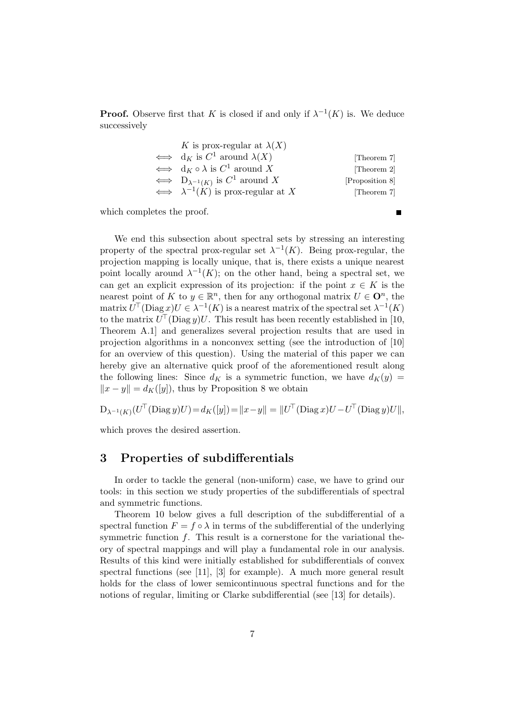**Proof.** Observe first that K is closed if and only if  $\lambda^{-1}(K)$  is. We deduce successively

| K is prox-regular at $\lambda(X)$                                |                 |
|------------------------------------------------------------------|-----------------|
| $\iff$ d <sub>K</sub> is $C^1$ around $\lambda(X)$               | [Theorem 7]     |
| $\iff$ d <sub>K</sub> $\circ \lambda$ is C <sup>1</sup> around X | [Theorem 2]     |
| $\iff D_{\lambda^{-1}(K)}$ is $C^1$ around X                     | [Proposition 8] |
| $\iff \lambda^{-1}(K)$ is prox-regular at X                      | [Theorem 7]     |

which completes the proof.

We end this subsection about spectral sets by stressing an interesting property of the spectral prox-regular set  $\lambda^{-1}(K)$ . Being prox-regular, the projection mapping is locally unique, that is, there exists a unique nearest point locally around  $\lambda^{-1}(K)$ ; on the other hand, being a spectral set, we can get an explicit expression of its projection: if the point  $x \in K$  is the nearest point of K to  $y \in \mathbb{R}^n$ , then for any orthogonal matrix  $U \in \mathbf{O}^n$ , the matrix  $U^{\top}$ (Diag  $x$ ) $U \in \lambda^{-1}(K)$  is a nearest matrix of the spectral set  $\lambda^{-1}(K)$ to the matrix  $U^{\top}(\text{Diag } y)U$ . This result has been recently established in [10, Theorem A.1] and generalizes several projection results that are used in projection algorithms in a nonconvex setting (see the introduction of [10] for an overview of this question). Using the material of this paper we can hereby give an alternative quick proof of the aforementioned result along the following lines: Since  $d_K$  is a symmetric function, we have  $d_K(y) =$  $||x - y|| = d_K([y]),$  thus by Proposition 8 we obtain

$$
D_{\lambda^{-1}(K)}(U^{\top}(\text{Diag }y)U) = d_K([y]) = ||x - y|| = ||U^{\top}(\text{Diag }x)U - U^{\top}(\text{Diag }y)U||,
$$

which proves the desired assertion.

# 3 Properties of subdifferentials

In order to tackle the general (non-uniform) case, we have to grind our tools: in this section we study properties of the subdifferentials of spectral and symmetric functions.

Theorem 10 below gives a full description of the subdifferential of a spectral function  $F = f \circ \lambda$  in terms of the subdifferential of the underlying symmetric function  $f$ . This result is a cornerstone for the variational theory of spectral mappings and will play a fundamental role in our analysis. Results of this kind were initially established for subdifferentials of convex spectral functions (see [11], [3] for example). A much more general result holds for the class of lower semicontinuous spectral functions and for the notions of regular, limiting or Clarke subdifferential (see [13] for details).

 $\blacksquare$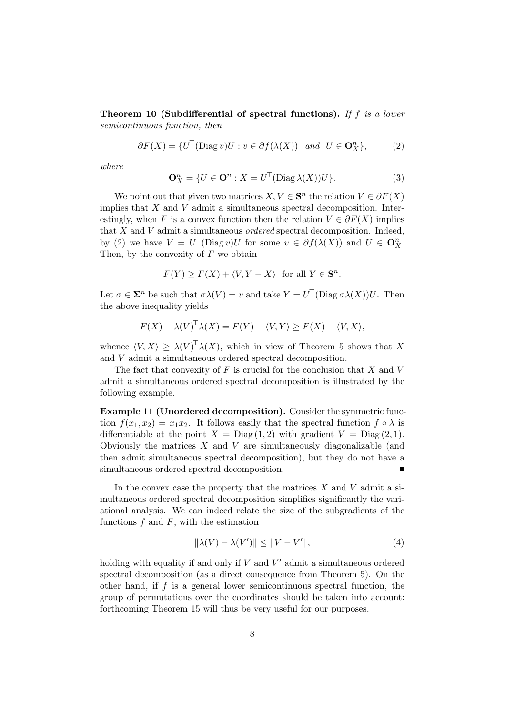Theorem 10 (Subdifferential of spectral functions). If f is a lower semicontinuous function, then

$$
\partial F(X) = \{ U^{\top}(\text{Diag } v)U : v \in \partial f(\lambda(X)) \text{ and } U \in \mathbf{O}_X^n \},\tag{2}
$$

where

$$
\mathbf{O}_X^n = \{ U \in \mathbf{O}^n : X = U^\top (\text{Diag } \lambda(X)) U \}. \tag{3}
$$

We point out that given two matrices  $X, V \in \mathbf{S}^n$  the relation  $V \in \partial F(X)$ implies that  $X$  and  $V$  admit a simultaneous spectral decomposition. Interestingly, when F is a convex function then the relation  $V \in \partial F(X)$  implies that  $X$  and  $V$  admit a simultaneous *ordered* spectral decomposition. Indeed, by (2) we have  $V = U^{\top}(\text{Diag } v)U$  for some  $v \in \partial f(\lambda(X))$  and  $U \in \mathbf{O}_{X}^{n}$ . Then, by the convexity of  $F$  we obtain

$$
F(Y) \ge F(X) + \langle V, Y - X \rangle \text{ for all } Y \in \mathbf{S}^n.
$$

Let  $\sigma \in \mathbf{\Sigma}^n$  be such that  $\sigma \lambda(V) = v$  and take  $Y = U^{\top}(\text{Diag }\sigma \lambda(X))U$ . Then the above inequality yields

$$
F(X) - \lambda(V)^{\top} \lambda(X) = F(Y) - \langle V, Y \rangle \ge F(X) - \langle V, X \rangle,
$$

whence  $\langle V, X \rangle \geq \lambda(V)^\top \lambda(X)$ , which in view of Theorem 5 shows that X and  $V$  admit a simultaneous ordered spectral decomposition.

The fact that convexity of  $F$  is crucial for the conclusion that  $X$  and  $V$ admit a simultaneous ordered spectral decomposition is illustrated by the following example.

Example 11 (Unordered decomposition). Consider the symmetric function  $f(x_1, x_2) = x_1x_2$ . It follows easily that the spectral function  $f \circ \lambda$  is differentiable at the point  $X = \text{Diag}(1, 2)$  with gradient  $V = \text{Diag}(2, 1)$ . Obviously the matrices  $X$  and  $V$  are simultaneously diagonalizable (and then admit simultaneous spectral decomposition), but they do not have a simultaneous ordered spectral decomposition.

In the convex case the property that the matrices  $X$  and  $V$  admit a simultaneous ordered spectral decomposition simplifies significantly the variational analysis. We can indeed relate the size of the subgradients of the functions  $f$  and  $F$ , with the estimation

$$
\|\lambda(V) - \lambda(V')\| \le \|V - V'\|,\tag{4}
$$

holding with equality if and only if  $V$  and  $V'$  admit a simultaneous ordered spectral decomposition (as a direct consequence from Theorem 5). On the other hand, if  $f$  is a general lower semicontinuous spectral function, the group of permutations over the coordinates should be taken into account: forthcoming Theorem 15 will thus be very useful for our purposes.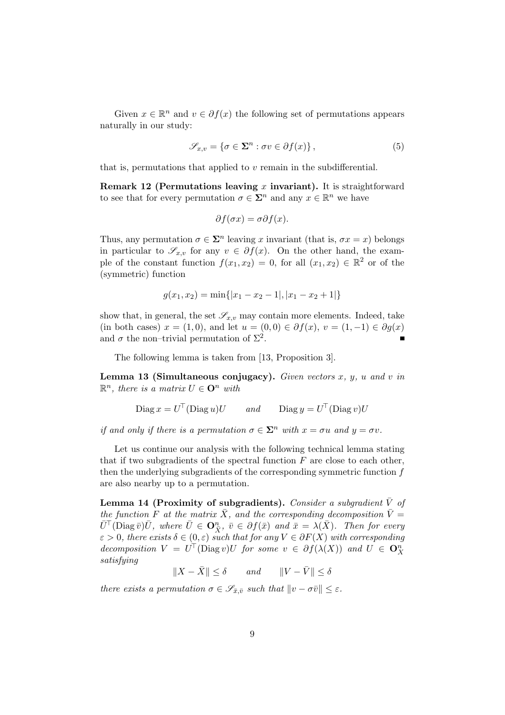Given  $x \in \mathbb{R}^n$  and  $v \in \partial f(x)$  the following set of permutations appears naturally in our study:

$$
\mathscr{S}_{x,v} = \{ \sigma \in \mathbf{\Sigma}^n : \sigma v \in \partial f(x) \},\tag{5}
$$

that is, permutations that applied to  $v$  remain in the subdifferential.

Remark 12 (Permutations leaving x invariant). It is straightforward to see that for every permutation  $\sigma \in \mathbb{Z}^n$  and any  $x \in \mathbb{R}^n$  we have

$$
\partial f(\sigma x) = \sigma \partial f(x).
$$

Thus, any permutation  $\sigma \in \mathbf{\Sigma}^n$  leaving x invariant (that is,  $\sigma x = x$ ) belongs in particular to  $\mathscr{S}_{x,v}$  for any  $v \in \partial f(x)$ . On the other hand, the example of the constant function  $f(x_1, x_2) = 0$ , for all  $(x_1, x_2) \in \mathbb{R}^2$  or of the (symmetric) function

$$
g(x_1, x_2) = \min\{|x_1 - x_2 - 1|, |x_1 - x_2 + 1|\}
$$

show that, in general, the set  $\mathscr{S}_{x,v}$  may contain more elements. Indeed, take (in both cases)  $x = (1,0)$ , and let  $u = (0,0) \in \partial f(x)$ ,  $v = (1,-1) \in \partial g(x)$ and  $\sigma$  the non-trivial permutation of  $\Sigma^2$ .

The following lemma is taken from [13, Proposition 3].

**Lemma 13 (Simultaneous conjugacy).** Given vectors  $x, y, u$  and  $v$  in  $\mathbb{R}^n$ , there is a matrix  $U \in \mathbf{O}^n$  with

$$
Diag x = U^{\top} (Diag u)U \qquad and \qquad Diag y = U^{\top} (Diag v)U
$$

if and only if there is a permutation  $\sigma \in \Sigma^n$  with  $x = \sigma u$  and  $y = \sigma v$ .

Let us continue our analysis with the following technical lemma stating that if two subgradients of the spectral function  $F$  are close to each other, then the underlying subgradients of the corresponding symmetric function f are also nearby up to a permutation.

**Lemma 14 (Proximity of subgradients).** Consider a subgradient  $\overline{V}$  of the function F at the matrix  $\bar{X}$ , and the corresponding decomposition  $\bar{V}$  =  $\bar{U}^{\top}(\text{Diag }\bar{v})\bar{U}$ , where  $\bar{U} \in \mathbf{O}_{\bar{X}}^n$ ,  $\bar{v} \in \partial f(\bar{x})$  and  $\bar{x} = \lambda(\bar{X})$ . Then for every  $\varepsilon > 0$ , there exists  $\delta \in (0, \varepsilon)$  such that for any  $V \in \partial F(X)$  with corresponding decomposition  $V = U^{\top}(\text{Diag } v)U$  for some  $v \in \partial f(\lambda(X))$  and  $U \in \mathbf{O}_X^n$ satisfying

 $||X - \bar{X}|| \le \delta$  and  $||V - \bar{V}|| \le \delta$ 

there exists a permutation  $\sigma \in \mathscr{S}_{\bar{x}, \bar{v}}$  such that  $\|v - \sigma \bar{v}\| \leq \varepsilon$ .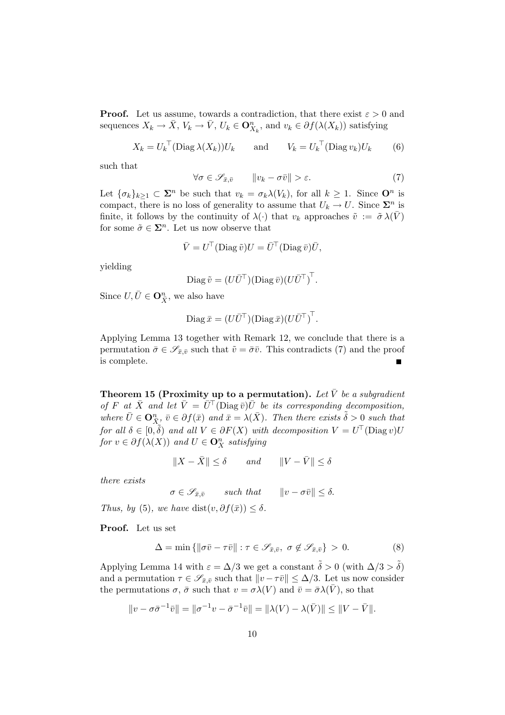**Proof.** Let us assume, towards a contradiction, that there exist  $\varepsilon > 0$  and sequences  $X_k \to \overline{X}$ ,  $V_k \to \overline{V}$ ,  $U_k \in \mathbf{O}_{X_k}^n$ , and  $v_k \in \partial f(\lambda(X_k))$  satisfying

$$
X_k = U_k^\top (\text{Diag }\lambda(X_k))U_k \qquad \text{and} \qquad V_k = U_k^\top (\text{Diag }v_k)U_k \tag{6}
$$

such that

$$
\forall \sigma \in \mathscr{S}_{\bar{x}, \bar{v}} \qquad \left\|v_k - \sigma \bar{v}\right\| > \varepsilon. \tag{7}
$$

Let  $\{\sigma_k\}_{k\geq 1} \subset \Sigma^n$  be such that  $v_k = \sigma_k \lambda(V_k)$ , for all  $k \geq 1$ . Since  $\mathbf{O}^n$  is compact, there is no loss of generality to assume that  $U_k \to U$ . Since  $\Sigma^n$  is finite, it follows by the continuity of  $\lambda(\cdot)$  that  $v_k$  approaches  $\tilde{v} := \tilde{\sigma} \lambda(V)$ for some  $\tilde{\sigma} \in \mathbf{\Sigma}^n$ . Let us now observe that

$$
\bar{V} = U^{\top}(\text{Diag}\,\tilde{v})U = \bar{U}^{\top}(\text{Diag}\,\bar{v})\bar{U},
$$

yielding

$$
\text{Diag}\,\tilde{v}=(U\bar{U}^{\top})(\text{Diag}\,\bar{v})(U\bar{U}^{\top})^{\top}.
$$

Since  $U, \overline{U} \in \mathbf{O}_{\overline{X}}^n$ , we also have

Diag 
$$
\bar{x} = (U\bar{U}^{\top})(\text{Diag}\,\bar{x})(U\bar{U}^{\top})^{\top}.
$$

Applying Lemma 13 together with Remark 12, we conclude that there is a permutation  $\bar{\sigma} \in \mathscr{S}_{\bar{x}, \bar{v}}$  such that  $\tilde{v} = \bar{\sigma} \bar{v}$ . This contradicts (7) and the proof is complete.  $\blacksquare$ 

Theorem 15 (Proximity up to a permutation). Let  $\bar{V}$  be a subgradient of F at  $\bar{X}$  and let  $\bar{V} = \bar{U}^{\top}(\text{Diag}\,\bar{v})\bar{U}$  be its corresponding decomposition, where  $\bar{U} \in \mathbf{O}_{\bar{X}_s}^n$ ,  $\bar{v} \in \partial f(\bar{x})$  and  $\bar{x} = \lambda(\bar{X})$ . Then there exists  $\tilde{\delta} > 0$  such that for all  $\delta \in [0, \tilde{\delta})$  and all  $V \in \partial F(X)$  with decomposition  $V = U^{\top}(\text{Diag } v)U$ for  $v \in \partial f(\lambda(X))$  and  $U \in \mathbf{O}_X^n$  satisfying

$$
||X - \bar{X}|| \le \delta \qquad and \qquad ||V - \bar{V}|| \le \delta
$$

there exists

 $\sigma \in \mathscr{S}_{\bar{x}, \bar{v}}$  such that  $||v - \sigma \bar{v}|| \leq \delta$ .

Thus, by (5), we have dist $(v, \partial f(\bar{x})) \leq \delta$ .

Proof. Let us set

$$
\Delta = \min \{ \|\sigma \bar{v} - \tau \bar{v}\| : \tau \in \mathscr{S}_{\bar{x}, \bar{v}}, \sigma \notin \mathscr{S}_{\bar{x}, \bar{v}} \} > 0. \tag{8}
$$

Applying Lemma 14 with  $\varepsilon = \Delta/3$  we get a constant  $\tilde{\delta} > 0$  (with  $\Delta/3 > \tilde{\delta}$ ) and a permutation  $\tau \in \mathscr{S}_{\bar{x},\bar{v}}$  such that  $\|v - \tau\bar{v}\| \leq \Delta/3$ . Let us now consider the permutations  $\sigma$ ,  $\bar{\sigma}$  such that  $v = \sigma \lambda(V)$  and  $\bar{v} = \bar{\sigma} \lambda(\bar{V})$ , so that

$$
||v - \sigma \bar{\sigma}^{-1} \bar{v}|| = ||\sigma^{-1} v - \bar{\sigma}^{-1} \bar{v}|| = ||\lambda(V) - \lambda(\bar{V})|| \le ||V - \bar{V}||.
$$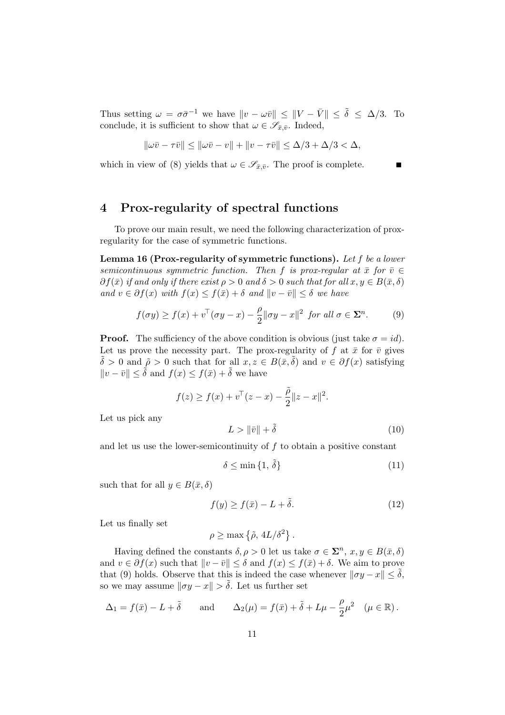Thus setting  $\omega = \sigma \bar{\sigma}^{-1}$  we have  $\|v - \omega \bar{v}\| \leq \|V - \bar{V}\| \leq \tilde{\delta} \leq \Delta/3$ . To conclude, it is sufficient to show that  $\omega \in \mathscr{S}_{\bar{x}, \bar{y}}$ . Indeed,

$$
\|\omega\bar{v}-\tau\bar{v}\| \le \|\omega\bar{v}-v\| + \|v-\tau\bar{v}\| \le \Delta/3 + \Delta/3 < \Delta,
$$

which in view of (8) yields that  $\omega \in \mathscr{S}_{\bar{x}, \bar{v}}$ . The proof is complete.

# 4 Prox-regularity of spectral functions

To prove our main result, we need the following characterization of proxregularity for the case of symmetric functions.

Lemma 16 (Prox-regularity of symmetric functions). Let f be a lower semicontinuous symmetric function. Then f is prox-regular at  $\bar{x}$  for  $\bar{v} \in$  $\partial f(\bar{x})$  if and only if there exist  $\rho > 0$  and  $\delta > 0$  such that for all  $x, y \in B(\bar{x}, \delta)$ and  $v \in \partial f(x)$  with  $f(x) \leq f(\bar{x}) + \delta$  and  $||v - \bar{v}|| \leq \delta$  we have

$$
f(\sigma y) \ge f(x) + v^{\top}(\sigma y - x) - \frac{\rho}{2} ||\sigma y - x||^2 \text{ for all } \sigma \in \Sigma^n.
$$
 (9)

**Proof.** The sufficiency of the above condition is obvious (just take  $\sigma = id$ ). Let us prove the necessity part. The prox-regularity of f at  $\bar{x}$  for  $\bar{v}$  gives  $\tilde{\delta} > 0$  and  $\tilde{\rho} > 0$  such that for all  $x, z \in B(\bar{x}, \tilde{\delta})$  and  $v \in \partial f(x)$  satisfying  $||v - \bar{v}|| \leq \tilde{\delta}$  and  $f(x) \leq f(\bar{x}) + \tilde{\delta}$  we have

$$
f(z) \ge f(x) + v^{\top}(z - x) - \frac{\tilde{\rho}}{2} ||z - x||^2.
$$

Let us pick any

$$
L > \|\bar{v}\| + \tilde{\delta} \tag{10}
$$

and let us use the lower-semicontinuity of  $f$  to obtain a positive constant

$$
\delta \le \min\left\{1, \,\tilde{\delta}\right\} \tag{11}
$$

such that for all  $y \in B(\bar{x}, \delta)$ 

$$
f(y) \ge f(\bar{x}) - L + \tilde{\delta}.\tag{12}
$$

.

Let us finally set

$$
\rho \geq \max\left\{\tilde{\rho},\, 4L/\delta^2\right\}
$$

Having defined the constants  $\delta, \rho > 0$  let us take  $\sigma \in \Sigma^n$ ,  $x, y \in B(\bar{x}, \delta)$ and  $v \in \partial f(x)$  such that  $||v - \bar{v}|| \leq \delta$  and  $f(x) \leq f(\bar{x}) + \delta$ . We aim to prove that (9) holds. Observe that this is indeed the case whenever  $\|\sigma y - x\| \leq \tilde{\delta}$ , so we may assume  $\|\sigma y - x\| > \tilde{\delta}$ . Let us further set

$$
\Delta_1 = f(\bar{x}) - L + \tilde{\delta} \quad \text{and} \quad \Delta_2(\mu) = f(\bar{x}) + \tilde{\delta} + L\mu - \frac{\rho}{2}\mu^2 \quad (\mu \in \mathbb{R}).
$$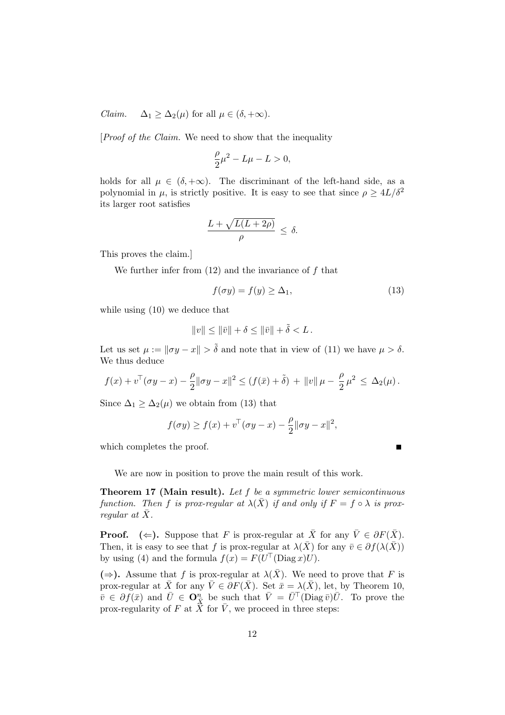*Claim.*  $\Delta_1 \geq \Delta_2(\mu)$  for all  $\mu \in (\delta, +\infty)$ .

[Proof of the Claim. We need to show that the inequality

$$
\frac{\rho}{2}\mu^2 - L\mu - L > 0,
$$

holds for all  $\mu \in (\delta, +\infty)$ . The discriminant of the left-hand side, as a polynomial in  $\mu$ , is strictly positive. It is easy to see that since  $\rho \geq 4L/\delta^2$ its larger root satisfies

$$
\frac{L + \sqrt{L(L + 2\rho)}}{\rho} \leq \delta.
$$

This proves the claim.]

We further infer from  $(12)$  and the invariance of f that

$$
f(\sigma y) = f(y) \ge \Delta_1,\tag{13}
$$

 $\blacksquare$ 

while using (10) we deduce that

$$
\|v\|\leq \|\bar v\|+\delta\leq \|\bar v\|+\tilde \delta
$$

Let us set  $\mu := ||\sigma y - x|| > \tilde{\delta}$  and note that in view of (11) we have  $\mu > \delta$ . We thus deduce

$$
f(x) + v^{\top}(\sigma y - x) - \frac{\rho}{2} \|\sigma y - x\|^2 \le (f(\bar{x}) + \tilde{\delta}) + \|v\| \mu - \frac{\rho}{2} \mu^2 \le \Delta_2(\mu).
$$

Since  $\Delta_1 \geq \Delta_2(\mu)$  we obtain from (13) that

$$
f(\sigma y) \ge f(x) + v^{\top}(\sigma y - x) - \frac{\rho}{2} || \sigma y - x ||^2,
$$

which completes the proof.

We are now in position to prove the main result of this work.

Theorem 17 (Main result). Let f be a symmetric lower semicontinuous function. Then f is prox-regular at  $\lambda(\bar{X})$  if and only if  $F = f \circ \lambda$  is proxregular at  $\bar{X}$ .

**Proof.** ( $\Leftarrow$ ). Suppose that F is prox-regular at  $\bar{X}$  for any  $\bar{V} \in \partial F(\bar{X})$ . Then, it is easy to see that f is prox-regular at  $\lambda(\bar{X})$  for any  $\bar{v} \in \partial f(\lambda(\bar{X}))$ by using (4) and the formula  $f(x) = F(U^{\top}(\text{Diag }x)U)$ .

 $(\Rightarrow)$ . Assume that f is prox-regular at  $\lambda(\bar{X})$ . We need to prove that F is prox-regular at  $\bar{X}$  for any  $\bar{V} \in \partial F(\bar{X})$ . Set  $\bar{x} = \lambda(\bar{X})$ , let, by Theorem 10,  $\bar{v} \in \partial f(\bar{x})$  and  $\bar{U} \in \mathbf{O}_{\bar{X}}^{\bar{n}}$  be such that  $\bar{V} = \bar{U}^{\top}(\text{Diag}\,\bar{v})\bar{U}$ . To prove the prox-regularity of F at  $\hat{X}$  for  $\overline{V}$ , we proceed in three steps: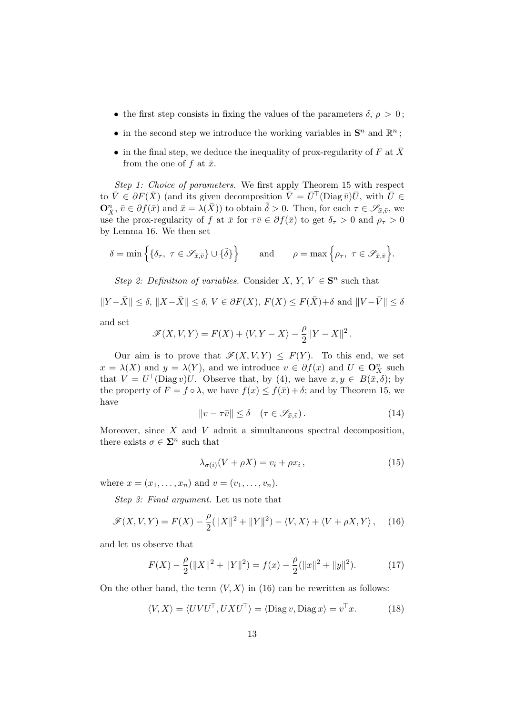- the first step consists in fixing the values of the parameters  $\delta$ ,  $\rho > 0$ ;
- in the second step we introduce the working variables in  $\mathbf{S}^n$  and  $\mathbb{R}^n$ ;
- in the final step, we deduce the inequality of prox-regularity of F at  $\bar{X}$ from the one of f at  $\bar{x}$ .

Step 1: Choice of parameters. We first apply Theorem 15 with respect to  $\bar{V} \in \partial F(\bar{X})$  (and its given decomposition  $\bar{V} = \bar{U}^{\top}$  (Diag  $\bar{v}$ ) $\bar{U}$ , with  $\bar{U} \in$  $\mathbf{O}_{\bar{X}}^n$ ,  $\bar{v} \in \partial f(\bar{x})$  and  $\bar{x} = \lambda(\bar{X})$ ) to obtain  $\tilde{\delta} > 0$ . Then, for each  $\tau \in \mathscr{S}_{\bar{x}, \bar{v}}$ , we use the prox-regularity of f at  $\bar{x}$  for  $\tau\bar{v}\in\partial f(\bar{x})$  to get  $\delta_{\tau}>0$  and  $\rho_{\tau}>0$ by Lemma 16. We then set

$$
\delta = \min \Big\{ \{\delta_\tau, \ \tau \in \mathscr{S}_{\bar{x},\bar{v}}\} \cup \{\tilde{\delta}\} \Big\} \qquad \text{and} \qquad \rho = \max \Big\{ \rho_\tau, \ \tau \in \mathscr{S}_{\bar{x},\bar{v}} \Big\}.
$$

Step 2: Definition of variables. Consider X, Y,  $V \in S^n$  such that

 $\|Y - \bar{X}\| \leq \delta, \|X - \bar{X}\| \leq \delta, V \in \partial F(X), F(X) \leq F(\bar{X}) + \delta$  and  $\|V - \bar{V}\| \leq \delta$ 

and set

$$
\mathscr{F}(X,V,Y) = F(X) + \langle V, Y - X \rangle - \frac{\rho}{2} ||Y - X||^2.
$$

Our aim is to prove that  $\mathscr{F}(X, V, Y) \leq F(Y)$ . To this end, we set  $x = \lambda(X)$  and  $y = \lambda(Y)$ , and we introduce  $v \in \partial f(x)$  and  $U \in \mathbf{O}_X^n$  such that  $V = U^{\top}(\text{Diag } v)U$ . Observe that, by (4), we have  $x, y \in B(\bar{x}, \delta)$ ; by the property of  $F = f \circ \lambda$ , we have  $f(x) \leq f(\bar{x}) + \delta$ ; and by Theorem 15, we have

$$
||v - \tau \bar{v}|| \le \delta \quad (\tau \in \mathscr{S}_{\bar{x}, \bar{v}}). \tag{14}
$$

Moreover, since  $X$  and  $V$  admit a simultaneous spectral decomposition, there exists  $\sigma \in \mathbf{\Sigma}^n$  such that

$$
\lambda_{\sigma(i)}(V + \rho X) = v_i + \rho x_i, \qquad (15)
$$

where  $x = (x_1, ..., x_n)$  and  $v = (v_1, ..., v_n)$ .

Step 3: Final argument. Let us note that

$$
\mathscr{F}(X,V,Y) = F(X) - \frac{\rho}{2}(\|X\|^2 + \|Y\|^2) - \langle V, X \rangle + \langle V + \rho X, Y \rangle, \quad (16)
$$

and let us observe that

$$
F(X) - \frac{\rho}{2}(\|X\|^2 + \|Y\|^2) = f(x) - \frac{\rho}{2}(\|x\|^2 + \|y\|^2). \tag{17}
$$

On the other hand, the term  $\langle V, X \rangle$  in (16) can be rewritten as follows:

$$
\langle V, X \rangle = \langle UVU^{\top}, UXU^{\top} \rangle = \langle \text{Diag } v, \text{Diag } x \rangle = v^{\top} x. \tag{18}
$$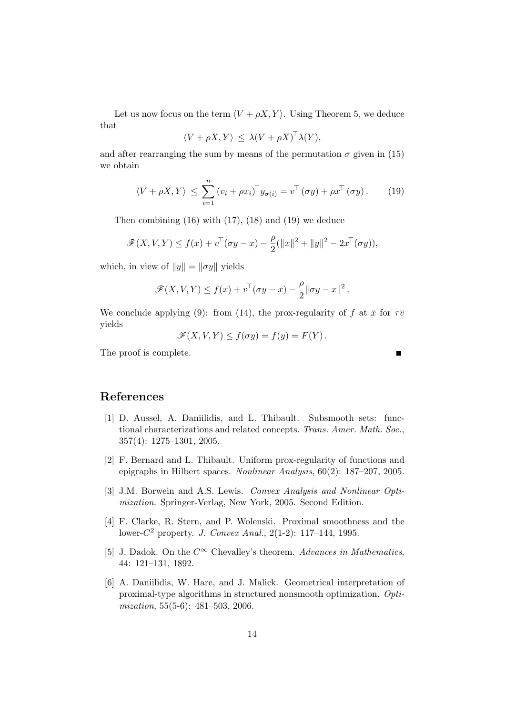Let us now focus on the term  $\langle V + \rho X, Y \rangle$ . Using Theorem 5, we deduce that

$$
\langle V + \rho X, Y \rangle \leq \lambda (V + \rho X)^{\top} \lambda (Y),
$$

and after rearranging the sum by means of the permutation  $\sigma$  given in (15) we obtain

$$
\langle V + \rho X, Y \rangle \le \sum_{i=1}^{n} (v_i + \rho x_i)^{\top} y_{\sigma(i)} = v^{\top} (\sigma y) + \rho x^{\top} (\sigma y). \tag{19}
$$

Then combining  $(16)$  with  $(17)$ ,  $(18)$  and  $(19)$  we deduce

$$
\mathscr{F}(X, V, Y) \le f(x) + v^{\top}(\sigma y - x) - \frac{\rho}{2}(\|x\|^2 + \|y\|^2 - 2x^{\top}(\sigma y)),
$$

which, in view of  $||y|| = ||\sigma y||$  yields

$$
\mathscr{F}(X,V,Y) \le f(x) + v^\top (\sigma y - x) - \frac{\rho}{2} ||\sigma y - x||^2.
$$

We conclude applying (9): from (14), the prox-regularity of f at  $\bar{x}$  for  $\tau\bar{v}$ yields

$$
\mathscr{F}(X,V,Y) \le f(\sigma y) = f(y) = F(Y).
$$

The proof is complete.

# References

- [1] D. Aussel, A. Daniilidis, and L. Thibault. Subsmooth sets: functional characterizations and related concepts. Trans. Amer. Math. Soc., 357(4): 1275–1301, 2005.
- [2] F. Bernard and L. Thibault. Uniform prox-regularity of functions and epigraphs in Hilbert spaces. Nonlinear Analysis, 60(2): 187–207, 2005.
- [3] J.M. Borwein and A.S. Lewis. Convex Analysis and Nonlinear Optimization. Springer-Verlag, New York, 2005. Second Edition.
- [4] F. Clarke, R. Stern, and P. Wolenski. Proximal smoothness and the lower- $C^2$  property. *J. Convex Anal.*, 2(1-2): 117–144, 1995.
- [5] J. Dadok. On the  $C^{\infty}$  Chevalley's theorem. Advances in Mathematics, 44: 121–131, 1892.
- [6] A. Daniilidis, W. Hare, and J. Malick. Geometrical interpretation of proximal-type algorithms in structured nonsmooth optimization. Optimization, 55(5-6): 481–503, 2006.

 $\blacksquare$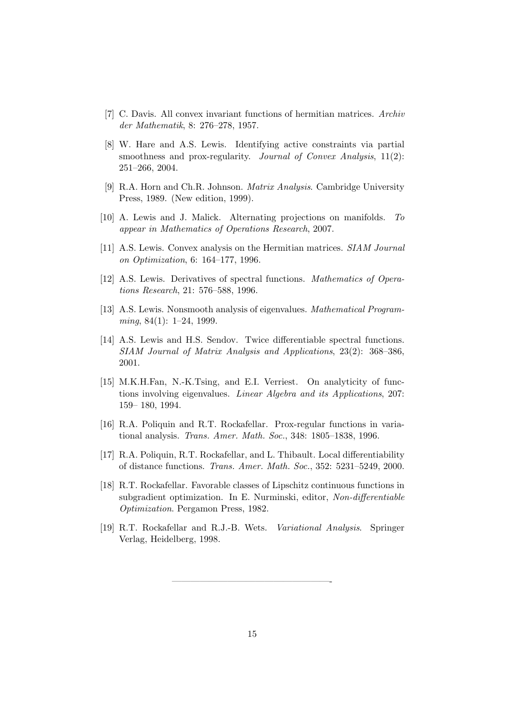- [7] C. Davis. All convex invariant functions of hermitian matrices. Archiv der Mathematik, 8: 276–278, 1957.
- [8] W. Hare and A.S. Lewis. Identifying active constraints via partial smoothness and prox-regularity. Journal of Convex Analysis, 11(2): 251–266, 2004.
- [9] R.A. Horn and Ch.R. Johnson. Matrix Analysis. Cambridge University Press, 1989. (New edition, 1999).
- [10] A. Lewis and J. Malick. Alternating projections on manifolds. To appear in Mathematics of Operations Research, 2007.
- [11] A.S. Lewis. Convex analysis on the Hermitian matrices. SIAM Journal on Optimization, 6: 164–177, 1996.
- [12] A.S. Lewis. Derivatives of spectral functions. Mathematics of Operations Research, 21: 576–588, 1996.
- [13] A.S. Lewis. Nonsmooth analysis of eigenvalues. Mathematical Program $minq, 84(1): 1–24, 1999.$
- [14] A.S. Lewis and H.S. Sendov. Twice differentiable spectral functions. SIAM Journal of Matrix Analysis and Applications, 23(2): 368–386, 2001.
- [15] M.K.H.Fan, N.-K.Tsing, and E.I. Verriest. On analyticity of functions involving eigenvalues. Linear Algebra and its Applications, 207: 159– 180, 1994.
- [16] R.A. Poliquin and R.T. Rockafellar. Prox-regular functions in variational analysis. Trans. Amer. Math. Soc., 348: 1805–1838, 1996.
- [17] R.A. Poliquin, R.T. Rockafellar, and L. Thibault. Local differentiability of distance functions. Trans. Amer. Math. Soc., 352: 5231–5249, 2000.
- [18] R.T. Rockafellar. Favorable classes of Lipschitz continuous functions in subgradient optimization. In E. Nurminski, editor, Non-differentiable Optimization. Pergamon Press, 1982.
- [19] R.T. Rockafellar and R.J.-B. Wets. Variational Analysis. Springer Verlag, Heidelberg, 1998.

—————————————————-